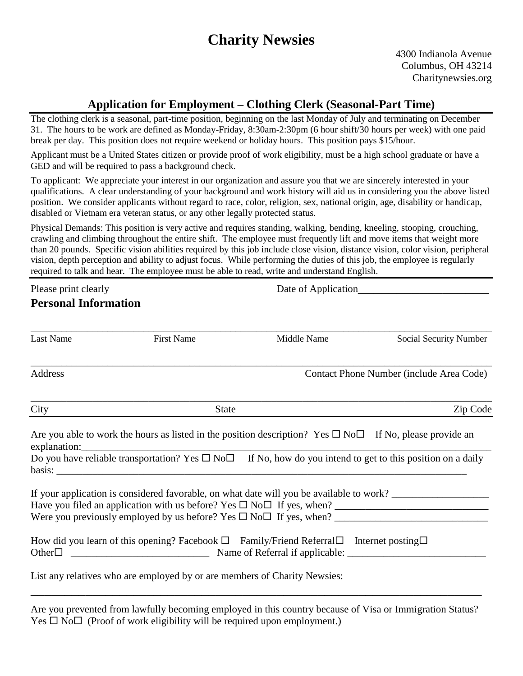## **Charity Newsies**

## **Application for Employment – Clothing Clerk (Seasonal-Part Time)**

The clothing clerk is a seasonal, part-time position, beginning on the last Monday of July and terminating on December 31. The hours to be work are defined as Monday-Friday, 8:30am-2:30pm (6 hour shift/30 hours per week) with one paid break per day. This position does not require weekend or holiday hours. This position pays \$15/hour.

Applicant must be a United States citizen or provide proof of work eligibility, must be a high school graduate or have a GED and will be required to pass a background check.

To applicant: We appreciate your interest in our organization and assure you that we are sincerely interested in your qualifications. A clear understanding of your background and work history will aid us in considering you the above listed position. We consider applicants without regard to race, color, religion, sex, national origin, age, disability or handicap, disabled or Vietnam era veteran status, or any other legally protected status.

Physical Demands: This position is very active and requires standing, walking, bending, kneeling, stooping, crouching, crawling and climbing throughout the entire shift. The employee must frequently lift and move items that weight more than 20 pounds. Specific vision abilities required by this job include close vision, distance vision, color vision, peripheral vision, depth perception and ability to adjust focus. While performing the duties of this job, the employee is regularly required to talk and hear. The employee must be able to read, write and understand English.

| Please print clearly        |                                                                                                          | Date of Application |                                                                                                                                                                                                                                                                    |  |  |  |  |
|-----------------------------|----------------------------------------------------------------------------------------------------------|---------------------|--------------------------------------------------------------------------------------------------------------------------------------------------------------------------------------------------------------------------------------------------------------------|--|--|--|--|
| <b>Personal Information</b> |                                                                                                          |                     |                                                                                                                                                                                                                                                                    |  |  |  |  |
| <b>Last Name</b>            | <b>First Name</b>                                                                                        | Middle Name         | Social Security Number                                                                                                                                                                                                                                             |  |  |  |  |
| Address                     |                                                                                                          |                     | Contact Phone Number (include Area Code)                                                                                                                                                                                                                           |  |  |  |  |
| City                        | <b>State</b>                                                                                             |                     | Zip Code                                                                                                                                                                                                                                                           |  |  |  |  |
| explanation:                |                                                                                                          |                     | Are you able to work the hours as listed in the position description? Yes $\Box$ No $\Box$ If No, please provide an<br>explanation:<br>Do you have reliable transportation? Yes $\square$ No $\square$ If No, how do you intend to get to this position on a daily |  |  |  |  |
|                             |                                                                                                          |                     |                                                                                                                                                                                                                                                                    |  |  |  |  |
|                             |                                                                                                          |                     | If your application is considered favorable, on what date will you be available to work?                                                                                                                                                                           |  |  |  |  |
| Other $\square$             | How did you learn of this opening? Facebook $\Box$ Family/Friend Referral $\Box$ Internet posting $\Box$ |                     |                                                                                                                                                                                                                                                                    |  |  |  |  |
|                             | List any relatives who are employed by or are members of Charity Newsies:                                |                     |                                                                                                                                                                                                                                                                    |  |  |  |  |

Are you prevented from lawfully becoming employed in this country because of Visa or Immigration Status?  $Yes \Box No \Box$  (Proof of work eligibility will be required upon employment.)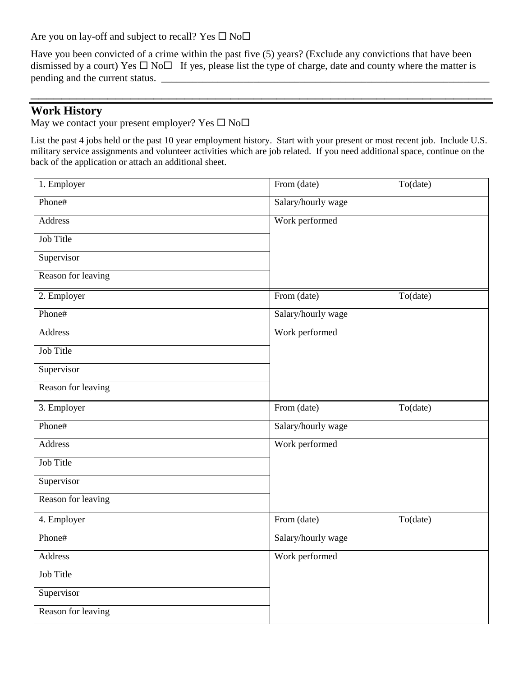Are you on lay-off and subject to recall? Yes  $\square$  No $\square$ 

Have you been convicted of a crime within the past five (5) years? (Exclude any convictions that have been dismissed by a court) Yes  $\Box$  No  $\Box$  If yes, please list the type of charge, date and county where the matter is pending and the current status.

\_\_\_\_\_\_\_\_\_\_\_\_\_\_\_\_\_\_\_\_\_\_\_\_\_\_\_\_\_\_\_\_\_\_\_\_\_\_\_\_\_\_\_\_\_\_\_\_\_\_\_\_\_\_\_\_\_\_\_\_

## **Work History**

May we contact your present employer? Yes  $\square$  No $\square$ 

List the past 4 jobs held or the past 10 year employment history. Start with your present or most recent job. Include U.S. military service assignments and volunteer activities which are job related. If you need additional space, continue on the back of the application or attach an additional sheet.

| 1. Employer        | From (date)<br>To(date) |  |
|--------------------|-------------------------|--|
| Phone#             | Salary/hourly wage      |  |
| <b>Address</b>     | Work performed          |  |
| Job Title          |                         |  |
| Supervisor         |                         |  |
| Reason for leaving |                         |  |
| 2. Employer        | From (date)<br>To(date) |  |
| Phone#             | Salary/hourly wage      |  |
| <b>Address</b>     | Work performed          |  |
| Job Title          |                         |  |
| Supervisor         |                         |  |
| Reason for leaving |                         |  |
| 3. Employer        | From (date)<br>To(date) |  |
| Phone#             | Salary/hourly wage      |  |
| <b>Address</b>     | Work performed          |  |
| Job Title          |                         |  |
| Supervisor         |                         |  |
| Reason for leaving |                         |  |
| 4. Employer        | From (date)<br>To(date) |  |
| Phone#             | Salary/hourly wage      |  |
| <b>Address</b>     | Work performed          |  |
| Job Title          |                         |  |
| Supervisor         |                         |  |
| Reason for leaving |                         |  |